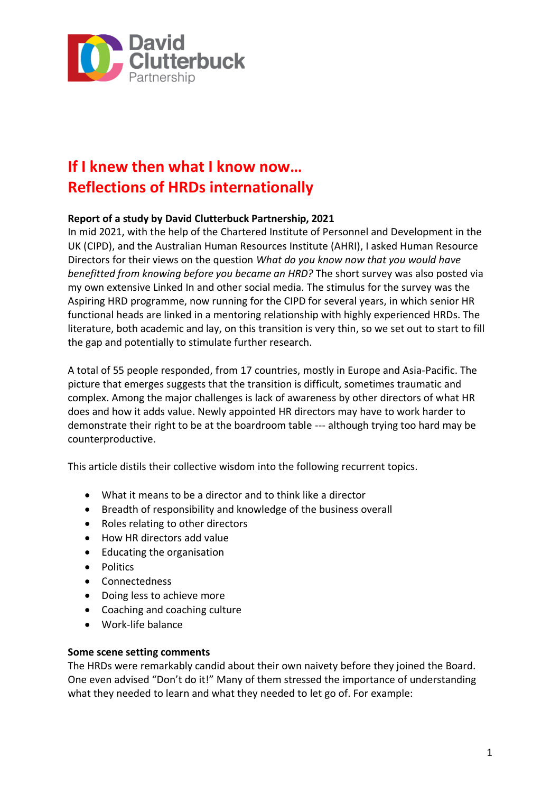

# **If I knew then what I know now… Reflections of HRDs internationally**

# **Report of a study by David Clutterbuck Partnership, 2021**

In mid 2021, with the help of the Chartered Institute of Personnel and Development in the UK (CIPD), and the Australian Human Resources Institute (AHRI), I asked Human Resource Directors for their views on the question *What do you know now that you would have benefitted from knowing before you became an HRD?* The short survey was also posted via my own extensive Linked In and other social media. The stimulus for the survey was the Aspiring HRD programme, now running for the CIPD for several years, in which senior HR functional heads are linked in a mentoring relationship with highly experienced HRDs. The literature, both academic and lay, on this transition is very thin, so we set out to start to fill the gap and potentially to stimulate further research.

A total of 55 people responded, from 17 countries, mostly in Europe and Asia-Pacific. The picture that emerges suggests that the transition is difficult, sometimes traumatic and complex. Among the major challenges is lack of awareness by other directors of what HR does and how it adds value. Newly appointed HR directors may have to work harder to demonstrate their right to be at the boardroom table --- although trying too hard may be counterproductive.

This article distils their collective wisdom into the following recurrent topics.

- What it means to be a director and to think like a director
- Breadth of responsibility and knowledge of the business overall
- Roles relating to other directors
- How HR directors add value
- Educating the organisation
- Politics
- Connectedness
- Doing less to achieve more
- Coaching and coaching culture
- Work-life balance

#### **Some scene setting comments**

The HRDs were remarkably candid about their own naivety before they joined the Board. One even advised "Don't do it!" Many of them stressed the importance of understanding what they needed to learn and what they needed to let go of. For example: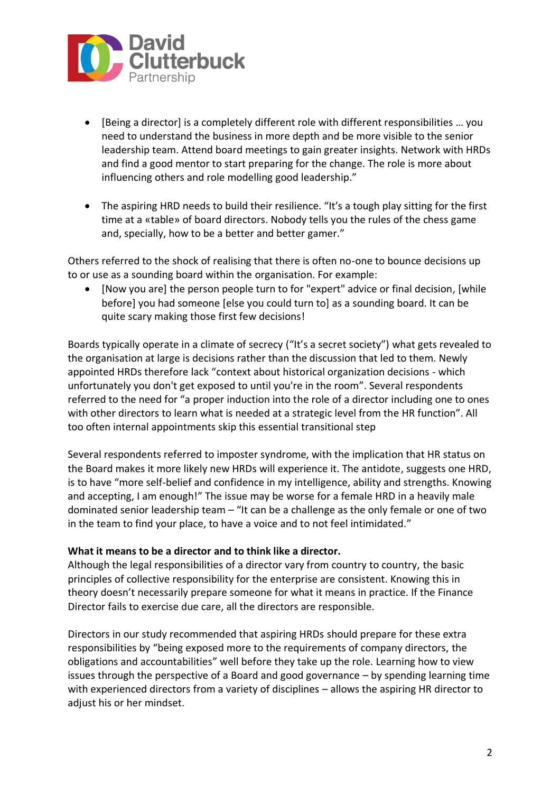

- [Being a director] is a completely different role with different responsibilities … you need to understand the business in more depth and be more visible to the senior leadership team. Attend board meetings to gain greater insights. Network with HRDs and find a good mentor to start preparing for the change. The role is more about influencing others and role modelling good leadership."
- The aspiring HRD needs to build their resilience. "It's a tough play sitting for the first time at a «table» of board directors. Nobody tells you the rules of the chess game and, specially, how to be a better and better gamer."

Others referred to the shock of realising that there is often no-one to bounce decisions up to or use as a sounding board within the organisation. For example:

• [Now you are] the person people turn to for "expert" advice or final decision, [while before] you had someone [else you could turn to] as a sounding board. It can be quite scary making those first few decisions!

Boards typically operate in a climate of secrecy ("It's a secret society") what gets revealed to the organisation at large is decisions rather than the discussion that led to them. Newly appointed HRDs therefore lack "context about historical organization decisions - which unfortunately you don't get exposed to until you're in the room". Several respondents referred to the need for "a proper induction into the role of a director including one to ones with other directors to learn what is needed at a strategic level from the HR function". All too often internal appointments skip this essential transitional step

Several respondents referred to imposter syndrome, with the implication that HR status on the Board makes it more likely new HRDs will experience it. The antidote, suggests one HRD, is to have "more self-belief and confidence in my intelligence, ability and strengths. Knowing and accepting, I am enough!" The issue may be worse for a female HRD in a heavily male dominated senior leadership team – "It can be a challenge as the only female or one of two in the team to find your place, to have a voice and to not feel intimidated."

#### **What it means to be a director and to think like a director.**

Although the legal responsibilities of a director vary from country to country, the basic principles of collective responsibility for the enterprise are consistent. Knowing this in theory doesn't necessarily prepare someone for what it means in practice. If the Finance Director fails to exercise due care, all the directors are responsible.

Directors in our study recommended that aspiring HRDs should prepare for these extra responsibilities by "being exposed more to the requirements of company directors, the obligations and accountabilities" well before they take up the role. Learning how to view issues through the perspective of a Board and good governance – by spending learning time with experienced directors from a variety of disciplines – allows the aspiring HR director to adjust his or her mindset.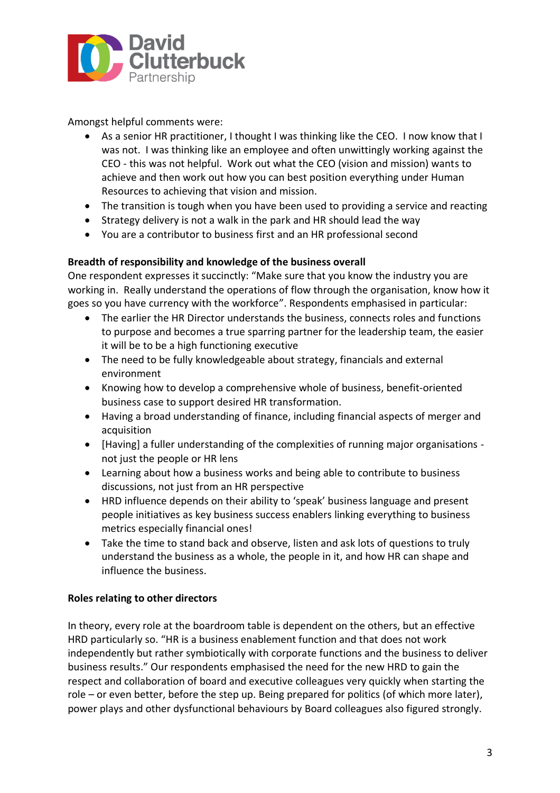

Amongst helpful comments were:

- As a senior HR practitioner, I thought I was thinking like the CEO. I now know that I was not. I was thinking like an employee and often unwittingly working against the CEO - this was not helpful. Work out what the CEO (vision and mission) wants to achieve and then work out how you can best position everything under Human Resources to achieving that vision and mission.
- The transition is tough when you have been used to providing a service and reacting
- Strategy delivery is not a walk in the park and HR should lead the way
- You are a contributor to business first and an HR professional second

#### **Breadth of responsibility and knowledge of the business overall**

One respondent expresses it succinctly: "Make sure that you know the industry you are working in. Really understand the operations of flow through the organisation, know how it goes so you have currency with the workforce". Respondents emphasised in particular:

- The earlier the HR Director understands the business, connects roles and functions to purpose and becomes a true sparring partner for the leadership team, the easier it will be to be a high functioning executive
- The need to be fully knowledgeable about strategy, financials and external environment
- Knowing how to develop a comprehensive whole of business, benefit-oriented business case to support desired HR transformation.
- Having a broad understanding of finance, including financial aspects of merger and acquisition
- [Having] a fuller understanding of the complexities of running major organisations not just the people or HR lens
- Learning about how a business works and being able to contribute to business discussions, not just from an HR perspective
- HRD influence depends on their ability to 'speak' business language and present people initiatives as key business success enablers linking everything to business metrics especially financial ones!
- Take the time to stand back and observe, listen and ask lots of questions to truly understand the business as a whole, the people in it, and how HR can shape and influence the business.

#### **Roles relating to other directors**

In theory, every role at the boardroom table is dependent on the others, but an effective HRD particularly so. "HR is a business enablement function and that does not work independently but rather symbiotically with corporate functions and the business to deliver business results." Our respondents emphasised the need for the new HRD to gain the respect and collaboration of board and executive colleagues very quickly when starting the role – or even better, before the step up. Being prepared for politics (of which more later), power plays and other dysfunctional behaviours by Board colleagues also figured strongly.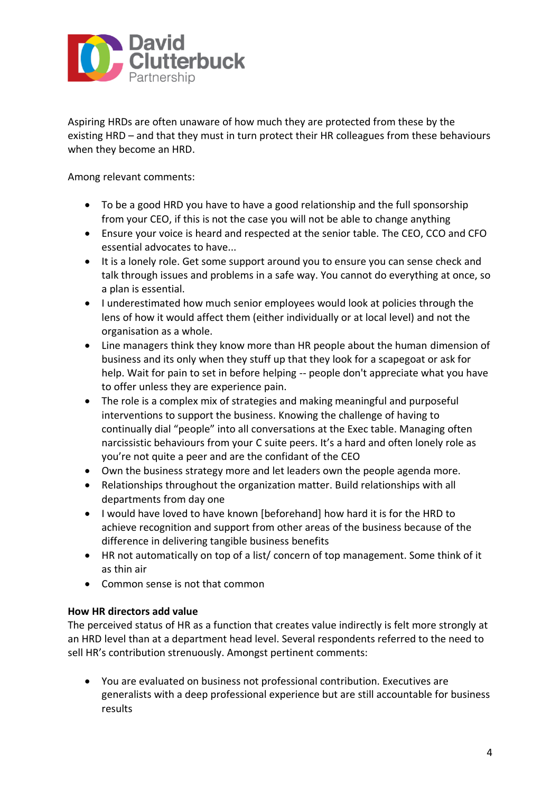

Aspiring HRDs are often unaware of how much they are protected from these by the existing HRD – and that they must in turn protect their HR colleagues from these behaviours when they become an HRD.

Among relevant comments:

- To be a good HRD you have to have a good relationship and the full sponsorship from your CEO, if this is not the case you will not be able to change anything
- Ensure your voice is heard and respected at the senior table. The CEO, CCO and CFO essential advocates to have...
- It is a lonely role. Get some support around you to ensure you can sense check and talk through issues and problems in a safe way. You cannot do everything at once, so a plan is essential.
- I underestimated how much senior employees would look at policies through the lens of how it would affect them (either individually or at local level) and not the organisation as a whole.
- Line managers think they know more than HR people about the human dimension of business and its only when they stuff up that they look for a scapegoat or ask for help. Wait for pain to set in before helping -- people don't appreciate what you have to offer unless they are experience pain.
- The role is a complex mix of strategies and making meaningful and purposeful interventions to support the business. Knowing the challenge of having to continually dial "people" into all conversations at the Exec table. Managing often narcissistic behaviours from your C suite peers. It's a hard and often lonely role as you're not quite a peer and are the confidant of the CEO
- Own the business strategy more and let leaders own the people agenda more.
- Relationships throughout the organization matter. Build relationships with all departments from day one
- I would have loved to have known [beforehand] how hard it is for the HRD to achieve recognition and support from other areas of the business because of the difference in delivering tangible business benefits
- HR not automatically on top of a list/ concern of top management. Some think of it as thin air
- Common sense is not that common

## **How HR directors add value**

The perceived status of HR as a function that creates value indirectly is felt more strongly at an HRD level than at a department head level. Several respondents referred to the need to sell HR's contribution strenuously. Amongst pertinent comments:

• You are evaluated on business not professional contribution. Executives are generalists with a deep professional experience but are still accountable for business results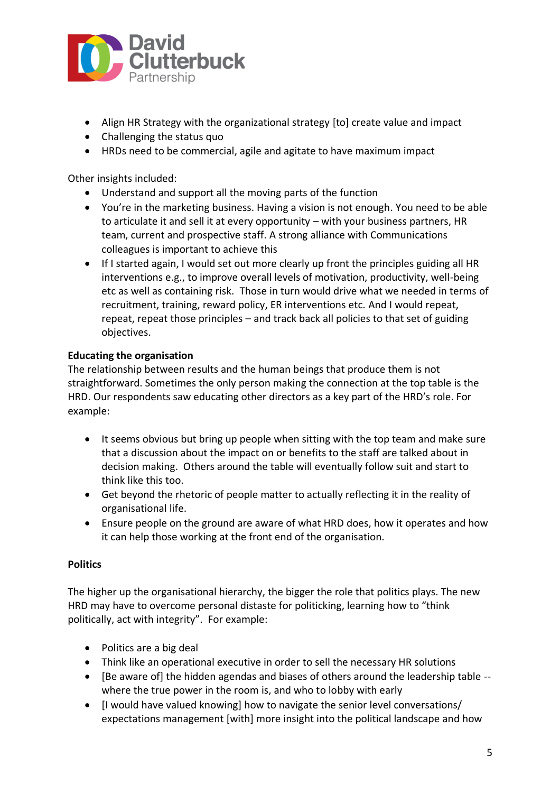

- Align HR Strategy with the organizational strategy [to] create value and impact
- Challenging the status quo
- HRDs need to be commercial, agile and agitate to have maximum impact

Other insights included:

- Understand and support all the moving parts of the function
- You're in the marketing business. Having a vision is not enough. You need to be able to articulate it and sell it at every opportunity – with your business partners, HR team, current and prospective staff. A strong alliance with Communications colleagues is important to achieve this
- If I started again, I would set out more clearly up front the principles guiding all HR interventions e.g., to improve overall levels of motivation, productivity, well-being etc as well as containing risk. Those in turn would drive what we needed in terms of recruitment, training, reward policy, ER interventions etc. And I would repeat, repeat, repeat those principles – and track back all policies to that set of guiding objectives.

## **Educating the organisation**

The relationship between results and the human beings that produce them is not straightforward. Sometimes the only person making the connection at the top table is the HRD. Our respondents saw educating other directors as a key part of the HRD's role. For example:

- It seems obvious but bring up people when sitting with the top team and make sure that a discussion about the impact on or benefits to the staff are talked about in decision making. Others around the table will eventually follow suit and start to think like this too.
- Get beyond the rhetoric of people matter to actually reflecting it in the reality of organisational life.
- Ensure people on the ground are aware of what HRD does, how it operates and how it can help those working at the front end of the organisation.

#### **Politics**

The higher up the organisational hierarchy, the bigger the role that politics plays. The new HRD may have to overcome personal distaste for politicking, learning how to "think politically, act with integrity". For example:

- Politics are a big deal
- Think like an operational executive in order to sell the necessary HR solutions
- [Be aware of] the hidden agendas and biases of others around the leadership table where the true power in the room is, and who to lobby with early
- [I would have valued knowing] how to navigate the senior level conversations/ expectations management [with] more insight into the political landscape and how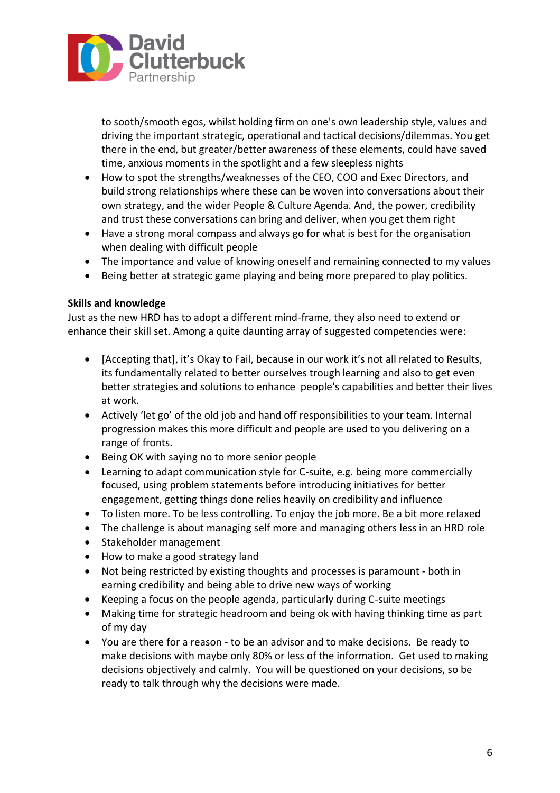

to sooth/smooth egos, whilst holding firm on one's own leadership style, values and driving the important strategic, operational and tactical decisions/dilemmas. You get there in the end, but greater/better awareness of these elements, could have saved time, anxious moments in the spotlight and a few sleepless nights

- How to spot the strengths/weaknesses of the CEO, COO and Exec Directors, and build strong relationships where these can be woven into conversations about their own strategy, and the wider People & Culture Agenda. And, the power, credibility and trust these conversations can bring and deliver, when you get them right
- Have a strong moral compass and always go for what is best for the organisation when dealing with difficult people
- The importance and value of knowing oneself and remaining connected to my values
- Being better at strategic game playing and being more prepared to play politics.

## **Skills and knowledge**

Just as the new HRD has to adopt a different mind-frame, they also need to extend or enhance their skill set. Among a quite daunting array of suggested competencies were:

- [Accepting that], it's Okay to Fail, because in our work it's not all related to Results, its fundamentally related to better ourselves trough learning and also to get even better strategies and solutions to enhance people's capabilities and better their lives at work.
- Actively 'let go' of the old job and hand off responsibilities to your team. Internal progression makes this more difficult and people are used to you delivering on a range of fronts.
- Being OK with saying no to more senior people
- Learning to adapt communication style for C-suite, e.g. being more commercially focused, using problem statements before introducing initiatives for better engagement, getting things done relies heavily on credibility and influence
- To listen more. To be less controlling. To enjoy the job more. Be a bit more relaxed
- The challenge is about managing self more and managing others less in an HRD role
- Stakeholder management
- How to make a good strategy land
- Not being restricted by existing thoughts and processes is paramount both in earning credibility and being able to drive new ways of working
- Keeping a focus on the people agenda, particularly during C-suite meetings
- Making time for strategic headroom and being ok with having thinking time as part of my day
- You are there for a reason to be an advisor and to make decisions. Be ready to make decisions with maybe only 80% or less of the information. Get used to making decisions objectively and calmly. You will be questioned on your decisions, so be ready to talk through why the decisions were made.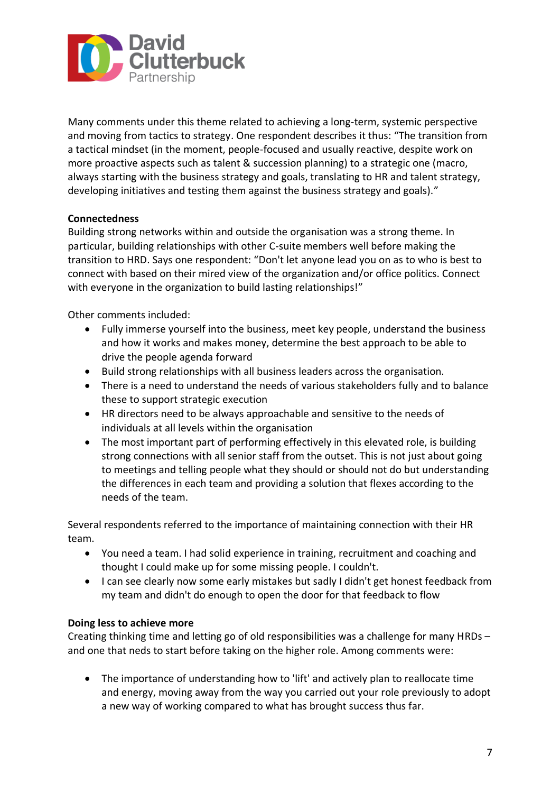

Many comments under this theme related to achieving a long-term, systemic perspective and moving from tactics to strategy. One respondent describes it thus: "The transition from a tactical mindset (in the moment, people-focused and usually reactive, despite work on more proactive aspects such as talent & succession planning) to a strategic one (macro, always starting with the business strategy and goals, translating to HR and talent strategy, developing initiatives and testing them against the business strategy and goals)."

## **Connectedness**

Building strong networks within and outside the organisation was a strong theme. In particular, building relationships with other C-suite members well before making the transition to HRD. Says one respondent: "Don't let anyone lead you on as to who is best to connect with based on their mired view of the organization and/or office politics. Connect with everyone in the organization to build lasting relationships!"

Other comments included:

- Fully immerse yourself into the business, meet key people, understand the business and how it works and makes money, determine the best approach to be able to drive the people agenda forward
- Build strong relationships with all business leaders across the organisation.
- There is a need to understand the needs of various stakeholders fully and to balance these to support strategic execution
- HR directors need to be always approachable and sensitive to the needs of individuals at all levels within the organisation
- The most important part of performing effectively in this elevated role, is building strong connections with all senior staff from the outset. This is not just about going to meetings and telling people what they should or should not do but understanding the differences in each team and providing a solution that flexes according to the needs of the team.

Several respondents referred to the importance of maintaining connection with their HR team.

- You need a team. I had solid experience in training, recruitment and coaching and thought I could make up for some missing people. I couldn't.
- I can see clearly now some early mistakes but sadly I didn't get honest feedback from my team and didn't do enough to open the door for that feedback to flow

#### **Doing less to achieve more**

Creating thinking time and letting go of old responsibilities was a challenge for many HRDs – and one that neds to start before taking on the higher role. Among comments were:

• The importance of understanding how to 'lift' and actively plan to reallocate time and energy, moving away from the way you carried out your role previously to adopt a new way of working compared to what has brought success thus far.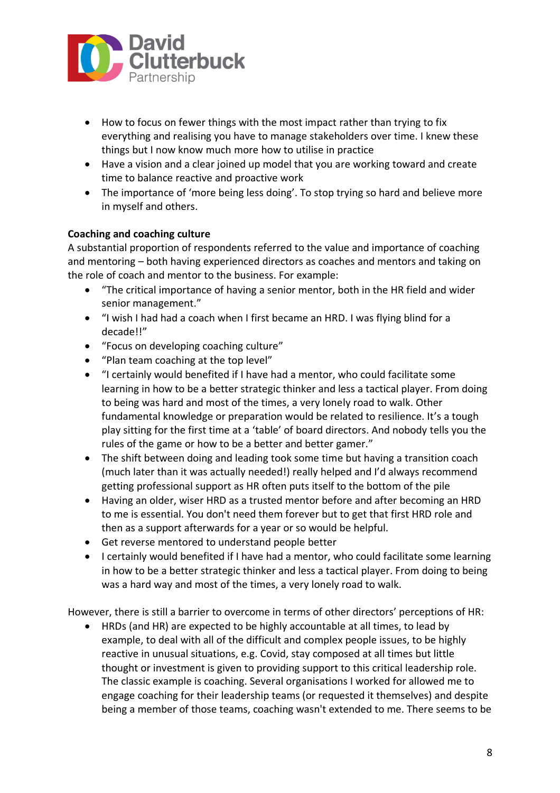

- How to focus on fewer things with the most impact rather than trying to fix everything and realising you have to manage stakeholders over time. I knew these things but I now know much more how to utilise in practice
- Have a vision and a clear joined up model that you are working toward and create time to balance reactive and proactive work
- The importance of 'more being less doing'. To stop trying so hard and believe more in myself and others.

## **Coaching and coaching culture**

A substantial proportion of respondents referred to the value and importance of coaching and mentoring – both having experienced directors as coaches and mentors and taking on the role of coach and mentor to the business. For example:

- "The critical importance of having a senior mentor, both in the HR field and wider senior management."
- "I wish I had had a coach when I first became an HRD. I was flying blind for a decade!!"
- "Focus on developing coaching culture"
- "Plan team coaching at the top level"
- "I certainly would benefited if I have had a mentor, who could facilitate some learning in how to be a better strategic thinker and less a tactical player. From doing to being was hard and most of the times, a very lonely road to walk. Other fundamental knowledge or preparation would be related to resilience. It's a tough play sitting for the first time at a 'table' of board directors. And nobody tells you the rules of the game or how to be a better and better gamer."
- The shift between doing and leading took some time but having a transition coach (much later than it was actually needed!) really helped and I'd always recommend getting professional support as HR often puts itself to the bottom of the pile
- Having an older, wiser HRD as a trusted mentor before and after becoming an HRD to me is essential. You don't need them forever but to get that first HRD role and then as a support afterwards for a year or so would be helpful.
- Get reverse mentored to understand people better
- I certainly would benefited if I have had a mentor, who could facilitate some learning in how to be a better strategic thinker and less a tactical player. From doing to being was a hard way and most of the times, a very lonely road to walk.

However, there is still a barrier to overcome in terms of other directors' perceptions of HR:

• HRDs (and HR) are expected to be highly accountable at all times, to lead by example, to deal with all of the difficult and complex people issues, to be highly reactive in unusual situations, e.g. Covid, stay composed at all times but little thought or investment is given to providing support to this critical leadership role. The classic example is coaching. Several organisations I worked for allowed me to engage coaching for their leadership teams (or requested it themselves) and despite being a member of those teams, coaching wasn't extended to me. There seems to be